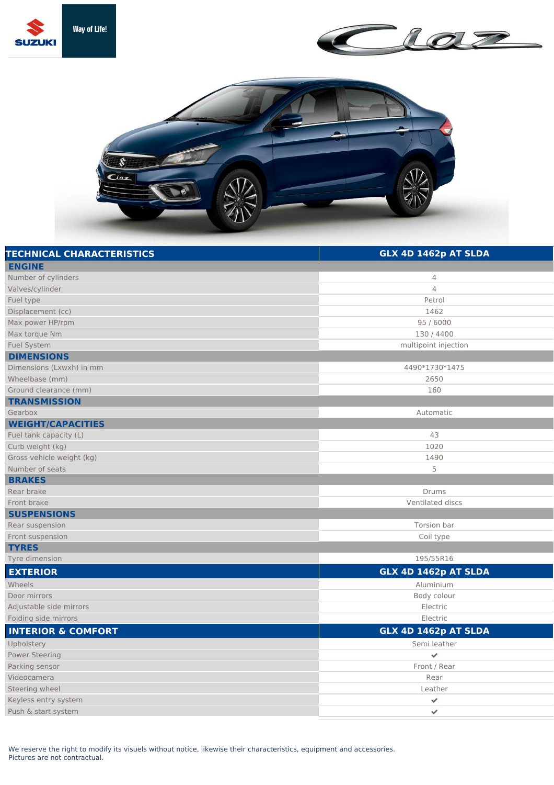





| <b>TECHNICAL CHARACTERISTICS</b> | GLX 4D 1462p AT SLDA |
|----------------------------------|----------------------|
| <b>ENGINE</b>                    |                      |
| Number of cylinders              | $\overline{4}$       |
| Valves/cylinder                  | $\overline{4}$       |
| Fuel type                        | Petrol               |
| Displacement (cc)                | 1462                 |
| Max power HP/rpm                 | 95 / 6000            |
| Max torque Nm                    | 130 / 4400           |
| <b>Fuel System</b>               | multipoint injection |
| <b>DIMENSIONS</b>                |                      |
| Dimensions (Lxwxh) in mm         | 4490*1730*1475       |
| Wheelbase (mm)                   | 2650                 |
| Ground clearance (mm)            | 160                  |
| <b>TRANSMISSION</b>              |                      |
| Gearbox                          | Automatic            |
| <b>WEIGHT/CAPACITIES</b>         |                      |
| Fuel tank capacity (L)           | 43                   |
| Curb weight (kg)                 | 1020                 |
| Gross vehicle weight (kg)        | 1490                 |
| Number of seats                  | 5                    |
| <b>BRAKES</b>                    |                      |
| Rear brake                       | Drums                |
| Front brake                      | Ventilated discs     |
| <b>SUSPENSIONS</b>               |                      |
| Rear suspension                  | Torsion bar          |
| Front suspension                 | Coil type            |
| <b>TYRES</b>                     |                      |
| Tyre dimension                   | 195/55R16            |
| <b>EXTERIOR</b>                  | GLX 4D 1462p AT SLDA |
| Wheels                           | Aluminium            |
| Door mirrors                     | Body colour          |
| Adjustable side mirrors          | Electric             |
| Folding side mirrors             | Electric             |
| <b>INTERIOR &amp; COMFORT</b>    | GLX 4D 1462p AT SLDA |
| Upholstery                       | Semi leather         |
| <b>Power Steering</b>            | $\checkmark$         |
| Parking sensor                   | Front / Rear         |
| Videocamera                      | Rear                 |
| Steering wheel                   | Leather              |
| Keyless entry system             | $\checkmark$         |
| Push & start system              | $\checkmark$         |

We reserve the right to modify its visuels without notice, likewise their characteristics, equipment and accessories. Pictures are not contractual.